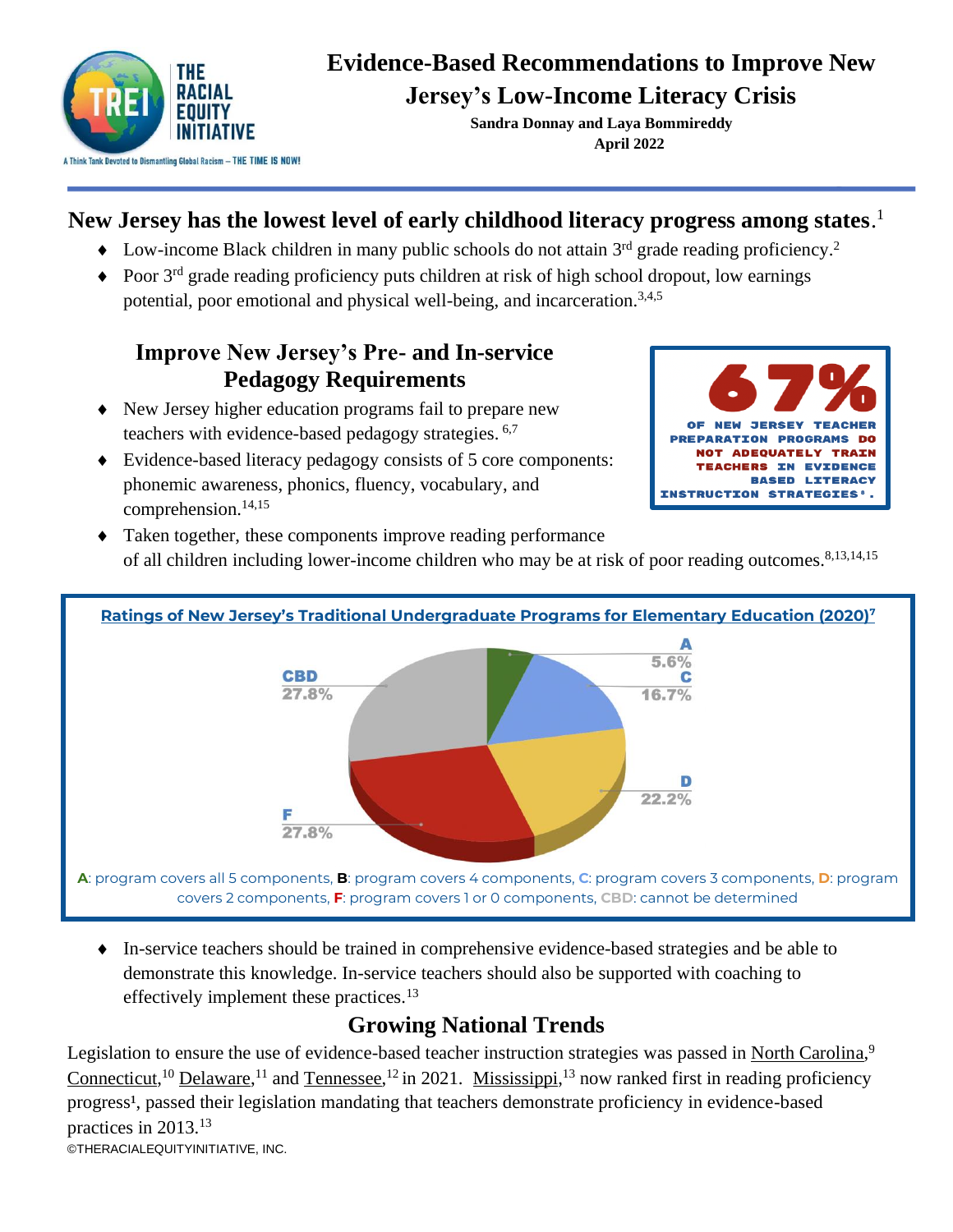

# **Evidence-Based Recommendations to Improve New Jersey's Low-Income Literacy Crisis**

**Sandra Donnay and Laya Bommireddy April 2022**

## **New Jersey has the lowest level of early childhood literacy progress among states**. 1

- Low-income Black children in many public schools do not attain 3<sup>rd</sup> grade reading proficiency.<sup>2</sup>
- Poor 3<sup>rd</sup> grade reading proficiency puts children at risk of high school dropout, low earnings potential, poor emotional and physical well-being, and incarceration.3,4,5

### **Improve New Jersey's Pre- and In-service Pedagogy Requirements**

- New Jersey higher education programs fail to prepare new teachers with evidence-based pedagogy strategies. 6,7
- Evidence-based literacy pedagogy consists of 5 core components: phonemic awareness, phonics, fluency, vocabulary, and comprehension.14,15



 Taken together, these components improve reading performance of all children including lower-income children who may be at risk of poor reading outcomes.<sup>8,13,14,15</sup>



 In-service teachers should be trained in comprehensive evidence-based strategies and be able to demonstrate this knowledge. In-service teachers should also be supported with coaching to effectively implement these practices.<sup>13</sup>

# **Growing National Trends**

©THERACIALEQUITYINITIATIVE, INC. Legislation to ensure the use of evidence-based teacher instruction strategies was passed in [North Carolina,](https://www.ncleg.gov/Sessions/2021/Bills/Senate/PDF/S387v4.pdf)<sup>9</sup> [Connecticut,](https://f618d851-8e74-4de9-9eb1-372f70db03ee.usrfiles.com/ugd/f618d8_322ce2287a70455ba004024b7ec8727e.pdf)<sup>10</sup> [Delaware,](https://legis.delaware.gov/BillDetail?LegislationId=68682)<sup>11</sup> and [Tennessee,](https://www.capitol.tn.gov/Bills/112/Bill/SB7003.pdf)<sup>12</sup> in 2021. [Mississippi,](https://excelined.org/wp-content/uploads/2020/09/TheReadingJournal.ThePerfectStorm.KymyonaBurk.May2020.pdf)<sup>13</sup> now ranked first in reading proficiency progress<sup>1</sup>, passed their legislation mandating that teachers demonstrate proficiency in evidence-based practices in 2013.13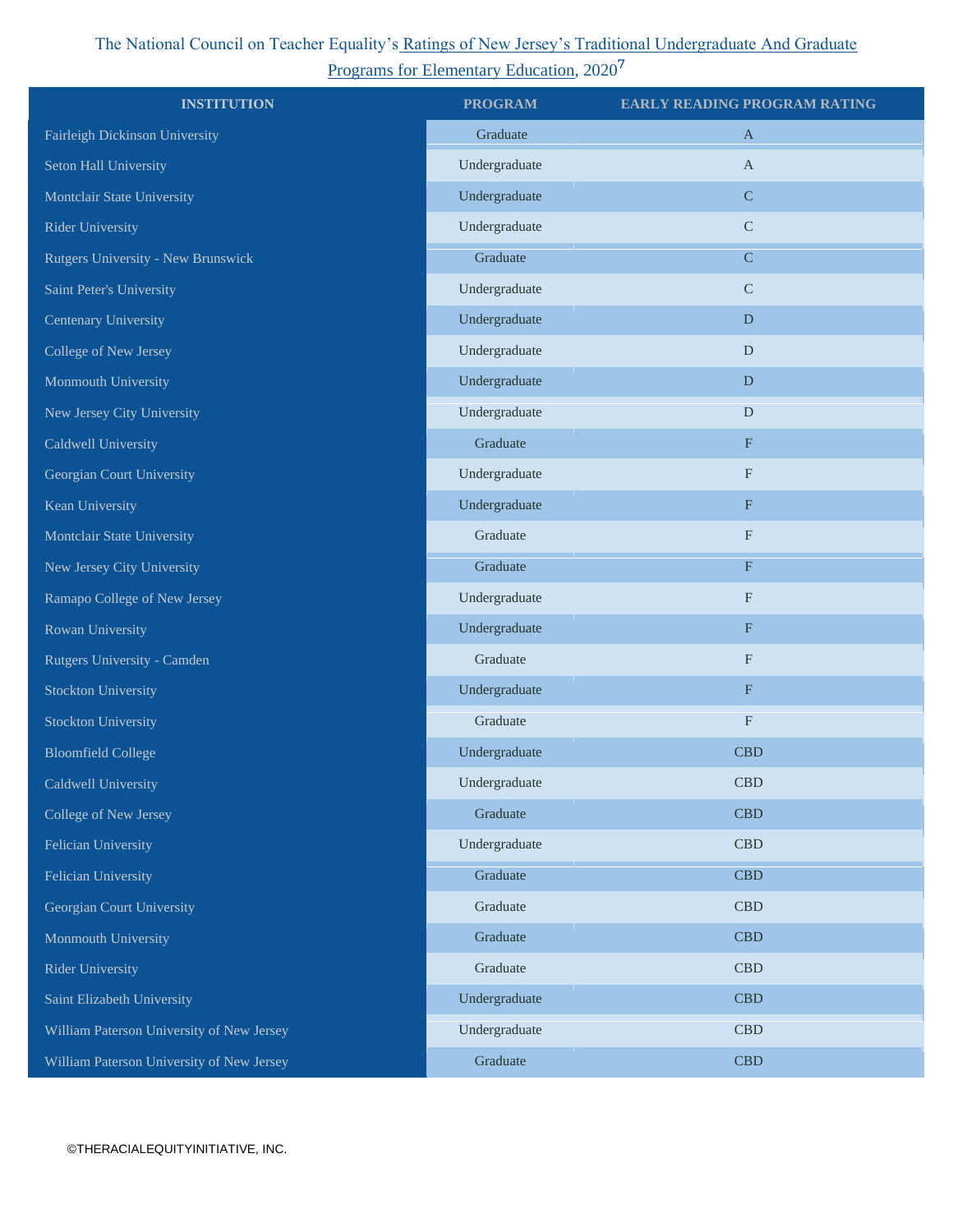#### [The National Council on Teacher Equality's](https://www.nctq.org/review/standardScores/Elementary_-NJ-) [Ratings of New Jersey's Traditional Undergraduate And Graduate](https://www.nctq.org/review/standardScores/Elementary_-NJ-)

[Programs for Elementary Education, 2020](https://www.nctq.org/review/standardScores/Elementary_-NJ-)[7](https://www.nctq.org/review/standardScores/Elementary_-NJ-)

| <b>INSTITUTION</b>                        | <b>PROGRAM</b> | <b>EARLY READING PROGRAM RATING</b> |
|-------------------------------------------|----------------|-------------------------------------|
| Fairleigh Dickinson University            | Graduate       | $\mathbf{A}$                        |
| Seton Hall University                     | Undergraduate  | $\boldsymbol{\mathsf{A}}$           |
| Montclair State University                | Undergraduate  | ${\bf C}$                           |
| <b>Rider University</b>                   | Undergraduate  | ${\bf C}$                           |
| Rutgers University - New Brunswick        | Graduate       | $\mathbf C$                         |
| Saint Peter's University                  | Undergraduate  | ${\bf C}$                           |
| Centenary University                      | Undergraduate  | ${\bf D}$                           |
| College of New Jersey                     | Undergraduate  | ${\rm D}$                           |
| Monmouth University                       | Undergraduate  | ${\bf D}$                           |
| New Jersey City University                | Undergraduate  | ${\rm D}$                           |
| Caldwell University                       | Graduate       | $\mathbf F$                         |
| Georgian Court University                 | Undergraduate  | $\boldsymbol{\mathrm{F}}$           |
| Kean University                           | Undergraduate  | $\mathbf F$                         |
| Montclair State University                | Graduate       | $\mathbf F$                         |
| New Jersey City University                | Graduate       | $\mathbf F$                         |
| Ramapo College of New Jersey              | Undergraduate  | $\boldsymbol{\mathrm{F}}$           |
| Rowan University                          | Undergraduate  | $\mathbf F$                         |
| Rutgers University - Camden               | Graduate       | $\boldsymbol{\mathrm{F}}$           |
| <b>Stockton University</b>                | Undergraduate  | $\mathbf F$                         |
| <b>Stockton University</b>                | Graduate       | $\boldsymbol{\mathrm{F}}$           |
| <b>Bloomfield College</b>                 | Undergraduate  | <b>CBD</b>                          |
| Caldwell University                       | Undergraduate  | CBD                                 |
| College of New Jersey                     | Graduate       | CBD                                 |
| Felician University                       | Undergraduate  | CBD                                 |
| <b>Felician University</b>                | Graduate       | <b>CBD</b>                          |
| Georgian Court University                 | Graduate       | CBD                                 |
| Monmouth University                       | Graduate       | CBD                                 |
| <b>Rider University</b>                   | Graduate       | CBD                                 |
| Saint Elizabeth University                | Undergraduate  | CBD                                 |
| William Paterson University of New Jersey | Undergraduate  | CBD                                 |
| William Paterson University of New Jersey | Graduate       | CBD                                 |